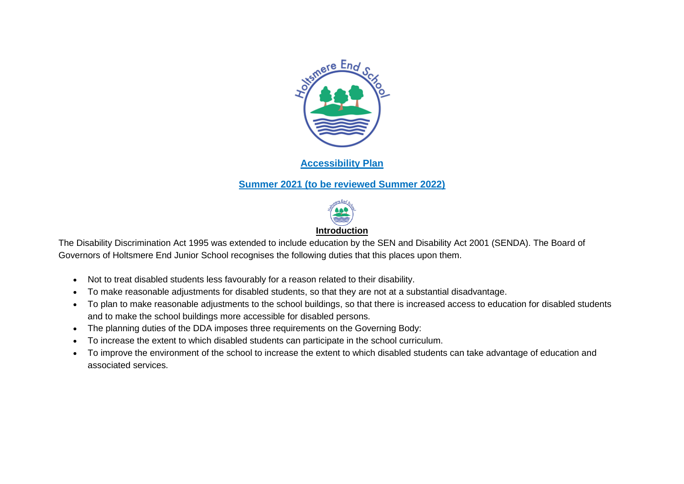

## **Accessibility Plan**

## **Summer 2021 (to be reviewed Summer 2022)**



The Disability Discrimination Act 1995 was extended to include education by the SEN and Disability Act 2001 (SENDA). The Board of Governors of Holtsmere End Junior School recognises the following duties that this places upon them.

- Not to treat disabled students less favourably for a reason related to their disability.
- To make reasonable adjustments for disabled students, so that they are not at a substantial disadvantage.
- To plan to make reasonable adjustments to the school buildings, so that there is increased access to education for disabled students and to make the school buildings more accessible for disabled persons.
- The planning duties of the DDA imposes three requirements on the Governing Body:
- To increase the extent to which disabled students can participate in the school curriculum.
- To improve the environment of the school to increase the extent to which disabled students can take advantage of education and associated services.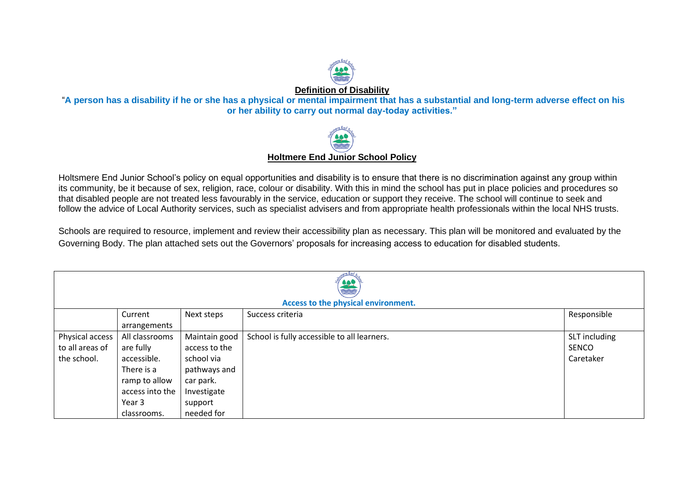

**Definition of Disability**

"**A person has a disability if he or she has a physical or mental impairment that has a substantial and long-term adverse effect on his or her ability to carry out normal day-today activities."**



Holtsmere End Junior School's policy on equal opportunities and disability is to ensure that there is no discrimination against any group within its community, be it because of sex, religion, race, colour or disability. With this in mind the school has put in place policies and procedures so that disabled people are not treated less favourably in the service, education or support they receive. The school will continue to seek and follow the advice of Local Authority services, such as specialist advisers and from appropriate health professionals within the local NHS trusts.

Schools are required to resource, implement and review their accessibility plan as necessary. This plan will be monitored and evaluated by the Governing Body. The plan attached sets out the Governors' proposals for increasing access to education for disabled students.

| \$49<br><b>REA</b> |                                                                                                 |               |                                             |               |  |  |
|--------------------|-------------------------------------------------------------------------------------------------|---------------|---------------------------------------------|---------------|--|--|
|                    | Access to the physical environment.<br>Responsible<br>Current<br>Next steps<br>Success criteria |               |                                             |               |  |  |
|                    | arrangements                                                                                    |               |                                             |               |  |  |
| Physical access    | All classrooms                                                                                  | Maintain good | School is fully accessible to all learners. | SLT including |  |  |
| to all areas of    | are fully                                                                                       | access to the |                                             | SENCO         |  |  |
| the school.        | accessible.                                                                                     | school via    |                                             | Caretaker     |  |  |
|                    | There is a                                                                                      | pathways and  |                                             |               |  |  |
|                    | ramp to allow                                                                                   | car park.     |                                             |               |  |  |
|                    | access into the                                                                                 | Investigate   |                                             |               |  |  |
|                    | Year 3                                                                                          | support       |                                             |               |  |  |
|                    | classrooms.                                                                                     | needed for    |                                             |               |  |  |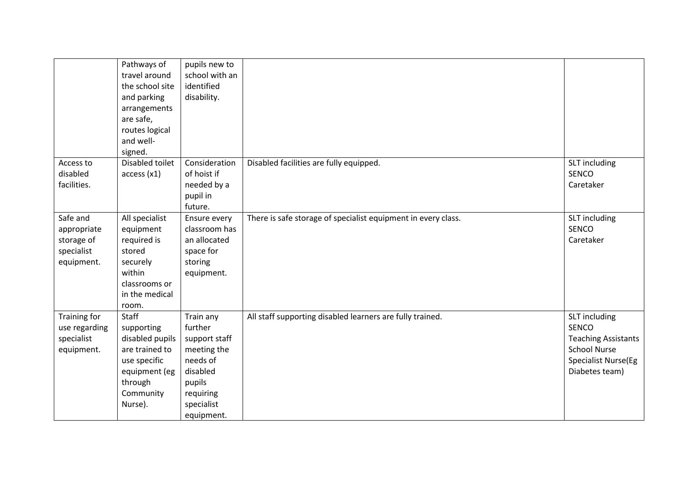|                                                                   | Pathways of<br>travel around<br>the school site<br>and parking<br>arrangements<br>are safe,<br>routes logical<br>and well-<br>signed. | pupils new to<br>school with an<br>identified<br>disability.                                                                    |                                                               |                                                                                                                                    |
|-------------------------------------------------------------------|---------------------------------------------------------------------------------------------------------------------------------------|---------------------------------------------------------------------------------------------------------------------------------|---------------------------------------------------------------|------------------------------------------------------------------------------------------------------------------------------------|
| Access to<br>disabled<br>facilities.                              | Disabled toilet<br>access(x1)                                                                                                         | Consideration<br>of hoist if<br>needed by a<br>pupil in<br>future.                                                              | Disabled facilities are fully equipped.                       | SLT including<br>SENCO<br>Caretaker                                                                                                |
| Safe and<br>appropriate<br>storage of<br>specialist<br>equipment. | All specialist<br>equipment<br>required is<br>stored<br>securely<br>within<br>classrooms or<br>in the medical<br>room.                | Ensure every<br>classroom has<br>an allocated<br>space for<br>storing<br>equipment.                                             | There is safe storage of specialist equipment in every class. | SLT including<br>SENCO<br>Caretaker                                                                                                |
| Training for<br>use regarding<br>specialist<br>equipment.         | Staff<br>supporting<br>disabled pupils<br>are trained to<br>use specific<br>equipment (eg<br>through<br>Community<br>Nurse).          | Train any<br>further<br>support staff<br>meeting the<br>needs of<br>disabled<br>pupils<br>requiring<br>specialist<br>equipment. | All staff supporting disabled learners are fully trained.     | SLT including<br><b>SENCO</b><br><b>Teaching Assistants</b><br><b>School Nurse</b><br><b>Specialist Nurse(Eg</b><br>Diabetes team) |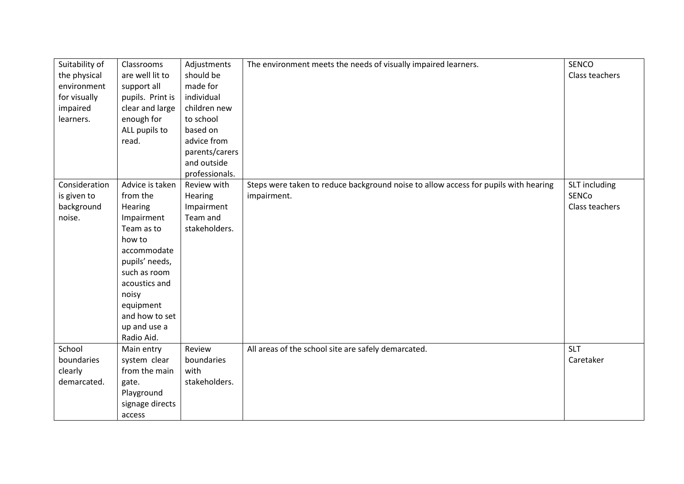| Suitability of | Classrooms       | Adjustments    | The environment meets the needs of visually impaired learners.                      | <b>SENCO</b>   |
|----------------|------------------|----------------|-------------------------------------------------------------------------------------|----------------|
| the physical   | are well lit to  | should be      |                                                                                     | Class teachers |
| environment    | support all      | made for       |                                                                                     |                |
| for visually   | pupils. Print is | individual     |                                                                                     |                |
| impaired       | clear and large  | children new   |                                                                                     |                |
| learners.      | enough for       | to school      |                                                                                     |                |
|                | ALL pupils to    | based on       |                                                                                     |                |
|                | read.            | advice from    |                                                                                     |                |
|                |                  | parents/carers |                                                                                     |                |
|                |                  | and outside    |                                                                                     |                |
|                |                  | professionals. |                                                                                     |                |
| Consideration  | Advice is taken  | Review with    | Steps were taken to reduce background noise to allow access for pupils with hearing | SLT including  |
| is given to    | from the         | Hearing        | impairment.                                                                         | <b>SENCo</b>   |
| background     | Hearing          | Impairment     |                                                                                     | Class teachers |
| noise.         | Impairment       | Team and       |                                                                                     |                |
|                | Team as to       | stakeholders.  |                                                                                     |                |
|                | how to           |                |                                                                                     |                |
|                | accommodate      |                |                                                                                     |                |
|                | pupils' needs,   |                |                                                                                     |                |
|                | such as room     |                |                                                                                     |                |
|                | acoustics and    |                |                                                                                     |                |
|                | noisy            |                |                                                                                     |                |
|                | equipment        |                |                                                                                     |                |
|                | and how to set   |                |                                                                                     |                |
|                | up and use a     |                |                                                                                     |                |
|                | Radio Aid.       |                |                                                                                     |                |
| School         | Main entry       | Review         | All areas of the school site are safely demarcated.                                 | <b>SLT</b>     |
| boundaries     | system clear     | boundaries     |                                                                                     | Caretaker      |
| clearly        | from the main    | with           |                                                                                     |                |
| demarcated.    | gate.            | stakeholders.  |                                                                                     |                |
|                | Playground       |                |                                                                                     |                |
|                | signage directs  |                |                                                                                     |                |
|                | access           |                |                                                                                     |                |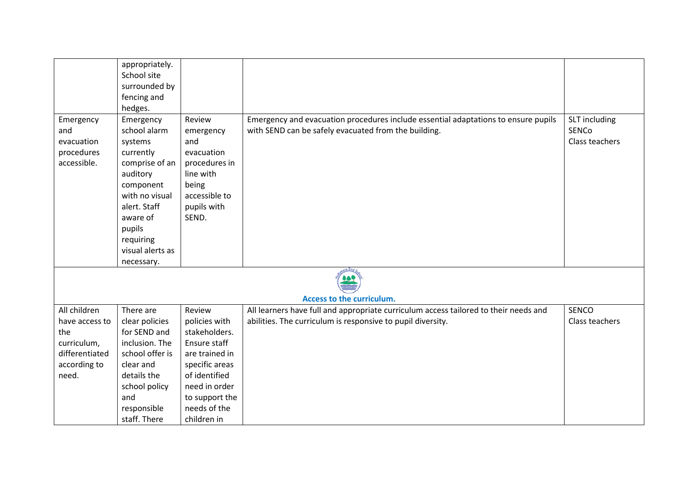|                | appropriately.   |                |                                                                                      |                |
|----------------|------------------|----------------|--------------------------------------------------------------------------------------|----------------|
|                | School site      |                |                                                                                      |                |
|                | surrounded by    |                |                                                                                      |                |
|                | fencing and      |                |                                                                                      |                |
|                | hedges.          |                |                                                                                      |                |
|                |                  | Review         |                                                                                      |                |
| Emergency      | Emergency        |                | Emergency and evacuation procedures include essential adaptations to ensure pupils   | SLT including  |
| and            | school alarm     | emergency      | with SEND can be safely evacuated from the building.                                 | SENCo          |
| evacuation     | systems          | and            |                                                                                      | Class teachers |
| procedures     | currently        | evacuation     |                                                                                      |                |
| accessible.    | comprise of an   | procedures in  |                                                                                      |                |
|                | auditory         | line with      |                                                                                      |                |
|                | component        | being          |                                                                                      |                |
|                | with no visual   | accessible to  |                                                                                      |                |
|                | alert. Staff     | pupils with    |                                                                                      |                |
|                | aware of         | SEND.          |                                                                                      |                |
|                | pupils           |                |                                                                                      |                |
|                | requiring        |                |                                                                                      |                |
|                | visual alerts as |                |                                                                                      |                |
|                | necessary.       |                |                                                                                      |                |
|                |                  |                |                                                                                      |                |
|                |                  |                | Access to the curriculum.                                                            |                |
| All children   | There are        | Review         | All learners have full and appropriate curriculum access tailored to their needs and | <b>SENCO</b>   |
| have access to | clear policies   | policies with  | abilities. The curriculum is responsive to pupil diversity.                          | Class teachers |
| the            | for SEND and     | stakeholders.  |                                                                                      |                |
| curriculum,    | inclusion. The   | Ensure staff   |                                                                                      |                |
| differentiated | school offer is  | are trained in |                                                                                      |                |
| according to   | clear and        | specific areas |                                                                                      |                |
| need.          | details the      | of identified  |                                                                                      |                |
|                | school policy    | need in order  |                                                                                      |                |
|                | and              | to support the |                                                                                      |                |
|                | responsible      | needs of the   |                                                                                      |                |
|                | staff. There     | children in    |                                                                                      |                |
|                |                  |                |                                                                                      |                |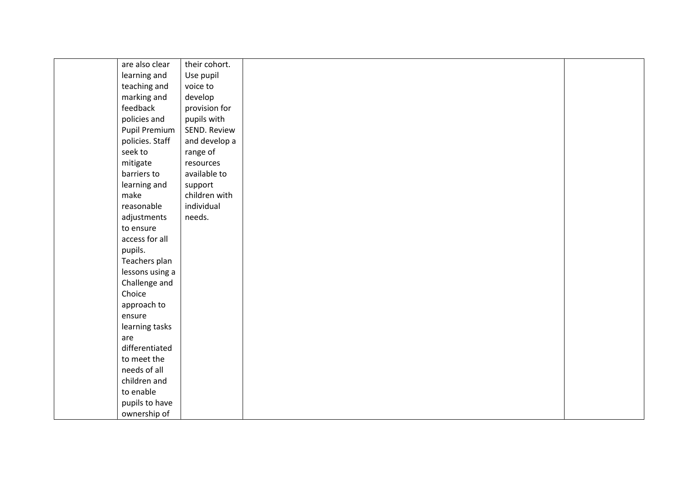| are also clear  | their cohort. |  |
|-----------------|---------------|--|
| learning and    | Use pupil     |  |
| teaching and    | voice to      |  |
| marking and     | develop       |  |
| feedback        | provision for |  |
| policies and    | pupils with   |  |
| Pupil Premium   | SEND. Review  |  |
| policies. Staff | and develop a |  |
| seek to         | range of      |  |
| mitigate        | resources     |  |
| barriers to     | available to  |  |
| learning and    | support       |  |
| make            | children with |  |
| reasonable      | individual    |  |
| adjustments     | needs.        |  |
| to ensure       |               |  |
| access for all  |               |  |
| pupils.         |               |  |
| Teachers plan   |               |  |
| lessons using a |               |  |
| Challenge and   |               |  |
| Choice          |               |  |
| approach to     |               |  |
| ensure          |               |  |
| learning tasks  |               |  |
| are             |               |  |
| differentiated  |               |  |
| to meet the     |               |  |
| needs of all    |               |  |
| children and    |               |  |
| to enable       |               |  |
| pupils to have  |               |  |
| ownership of    |               |  |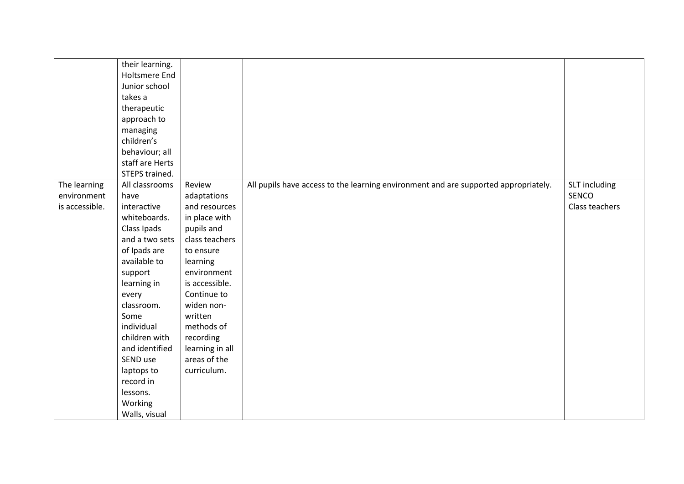|                | their learning. |                 |                                                                                     |                |
|----------------|-----------------|-----------------|-------------------------------------------------------------------------------------|----------------|
|                | Holtsmere End   |                 |                                                                                     |                |
|                | Junior school   |                 |                                                                                     |                |
|                | takes a         |                 |                                                                                     |                |
|                | therapeutic     |                 |                                                                                     |                |
|                | approach to     |                 |                                                                                     |                |
|                | managing        |                 |                                                                                     |                |
|                | children's      |                 |                                                                                     |                |
|                | behaviour; all  |                 |                                                                                     |                |
|                | staff are Herts |                 |                                                                                     |                |
|                | STEPS trained.  |                 |                                                                                     |                |
| The learning   | All classrooms  | Review          | All pupils have access to the learning environment and are supported appropriately. | SLT including  |
| environment    | have            | adaptations     |                                                                                     | SENCO          |
| is accessible. | interactive     | and resources   |                                                                                     | Class teachers |
|                | whiteboards.    | in place with   |                                                                                     |                |
|                | Class Ipads     | pupils and      |                                                                                     |                |
|                | and a two sets  | class teachers  |                                                                                     |                |
|                | of Ipads are    | to ensure       |                                                                                     |                |
|                | available to    | learning        |                                                                                     |                |
|                | support         | environment     |                                                                                     |                |
|                | learning in     | is accessible.  |                                                                                     |                |
|                | every           | Continue to     |                                                                                     |                |
|                | classroom.      | widen non-      |                                                                                     |                |
|                | Some            | written         |                                                                                     |                |
|                | individual      | methods of      |                                                                                     |                |
|                | children with   | recording       |                                                                                     |                |
|                | and identified  | learning in all |                                                                                     |                |
|                | SEND use        | areas of the    |                                                                                     |                |
|                | laptops to      | curriculum.     |                                                                                     |                |
|                | record in       |                 |                                                                                     |                |
|                | lessons.        |                 |                                                                                     |                |
|                | Working         |                 |                                                                                     |                |
|                | Walls, visual   |                 |                                                                                     |                |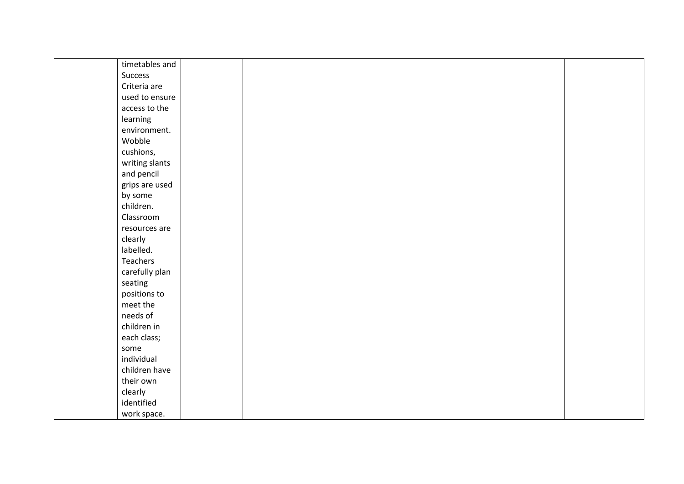| timetables and |  |
|----------------|--|
| Success        |  |
| Criteria are   |  |
| used to ensure |  |
| access to the  |  |
| learning       |  |
| environment.   |  |
| Wobble         |  |
| cushions,      |  |
| writing slants |  |
| and pencil     |  |
| grips are used |  |
| by some        |  |
| children.      |  |
| Classroom      |  |
| resources are  |  |
| clearly        |  |
| labelled.      |  |
| Teachers       |  |
| carefully plan |  |
| seating        |  |
| positions to   |  |
| meet the       |  |
| needs of       |  |
| children in    |  |
| each class;    |  |
| some           |  |
| individual     |  |
| children have  |  |
| their own      |  |
| clearly        |  |
| identified     |  |
| work space.    |  |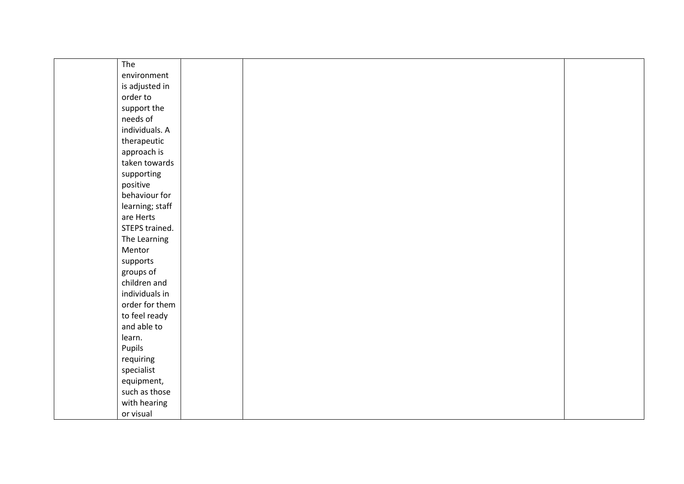| The             |  |  |
|-----------------|--|--|
| environment     |  |  |
| is adjusted in  |  |  |
| order to        |  |  |
| support the     |  |  |
| needs of        |  |  |
| individuals. A  |  |  |
| therapeutic     |  |  |
| approach is     |  |  |
| taken towards   |  |  |
| supporting      |  |  |
| positive        |  |  |
| behaviour for   |  |  |
| learning; staff |  |  |
| are Herts       |  |  |
| STEPS trained.  |  |  |
| The Learning    |  |  |
| Mentor          |  |  |
| supports        |  |  |
| groups of       |  |  |
| children and    |  |  |
| individuals in  |  |  |
| order for them  |  |  |
| to feel ready   |  |  |
| and able to     |  |  |
| learn.          |  |  |
| Pupils          |  |  |
| requiring       |  |  |
| specialist      |  |  |
| equipment,      |  |  |
| such as those   |  |  |
| with hearing    |  |  |
| or visual       |  |  |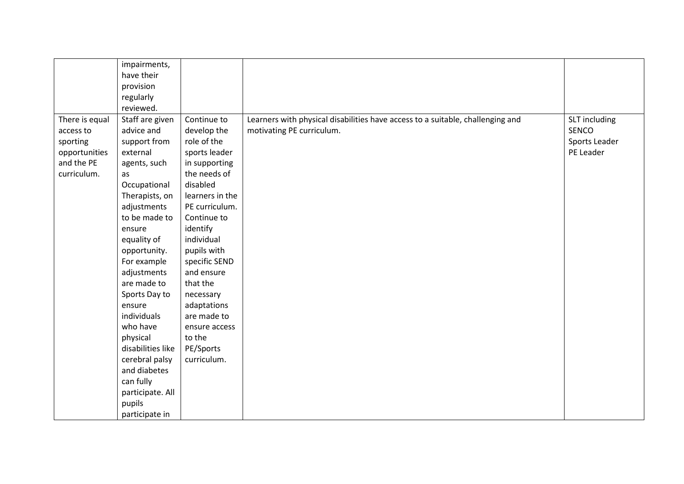|                | impairments,      |                 |                                                                                |               |
|----------------|-------------------|-----------------|--------------------------------------------------------------------------------|---------------|
|                | have their        |                 |                                                                                |               |
|                | provision         |                 |                                                                                |               |
|                | regularly         |                 |                                                                                |               |
|                | reviewed.         |                 |                                                                                |               |
| There is equal | Staff are given   | Continue to     | Learners with physical disabilities have access to a suitable, challenging and | SLT including |
| access to      | advice and        | develop the     | motivating PE curriculum.                                                      | SENCO         |
| sporting       | support from      | role of the     |                                                                                | Sports Leader |
| opportunities  | external          | sports leader   |                                                                                | PE Leader     |
| and the PE     | agents, such      | in supporting   |                                                                                |               |
| curriculum.    | as                | the needs of    |                                                                                |               |
|                | Occupational      | disabled        |                                                                                |               |
|                | Therapists, on    | learners in the |                                                                                |               |
|                | adjustments       | PE curriculum.  |                                                                                |               |
|                | to be made to     | Continue to     |                                                                                |               |
|                | ensure            | identify        |                                                                                |               |
|                | equality of       | individual      |                                                                                |               |
|                | opportunity.      | pupils with     |                                                                                |               |
|                | For example       | specific SEND   |                                                                                |               |
|                | adjustments       | and ensure      |                                                                                |               |
|                | are made to       | that the        |                                                                                |               |
|                | Sports Day to     | necessary       |                                                                                |               |
|                | ensure            | adaptations     |                                                                                |               |
|                | individuals       | are made to     |                                                                                |               |
|                | who have          | ensure access   |                                                                                |               |
|                | physical          | to the          |                                                                                |               |
|                | disabilities like | PE/Sports       |                                                                                |               |
|                | cerebral palsy    | curriculum.     |                                                                                |               |
|                | and diabetes      |                 |                                                                                |               |
|                | can fully         |                 |                                                                                |               |
|                | participate. All  |                 |                                                                                |               |
|                | pupils            |                 |                                                                                |               |
|                | participate in    |                 |                                                                                |               |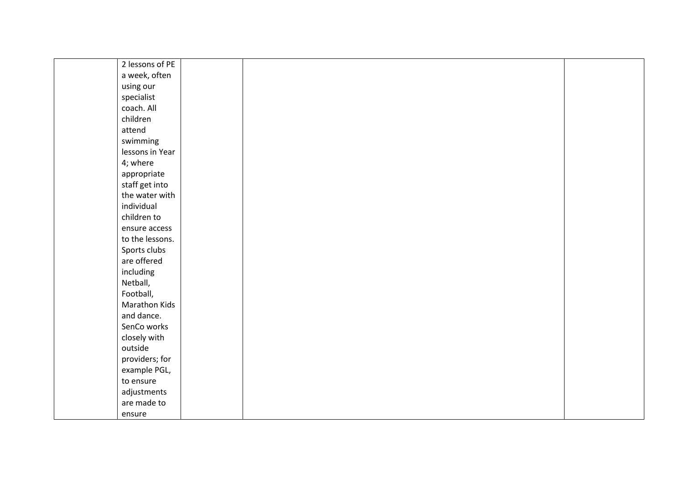| 2 lessons of PE |  |  |  |
|-----------------|--|--|--|
| a week, often   |  |  |  |
| using our       |  |  |  |
| specialist      |  |  |  |
| coach. All      |  |  |  |
| children        |  |  |  |
| attend          |  |  |  |
| swimming        |  |  |  |
| lessons in Year |  |  |  |
| 4; where        |  |  |  |
| appropriate     |  |  |  |
| staff get into  |  |  |  |
| the water with  |  |  |  |
| individual      |  |  |  |
| children to     |  |  |  |
| ensure access   |  |  |  |
| to the lessons. |  |  |  |
| Sports clubs    |  |  |  |
| are offered     |  |  |  |
| including       |  |  |  |
| Netball,        |  |  |  |
| Football,       |  |  |  |
| Marathon Kids   |  |  |  |
| and dance.      |  |  |  |
| SenCo works     |  |  |  |
| closely with    |  |  |  |
| outside         |  |  |  |
| providers; for  |  |  |  |
| example PGL,    |  |  |  |
| to ensure       |  |  |  |
| adjustments     |  |  |  |
| are made to     |  |  |  |
| ensure          |  |  |  |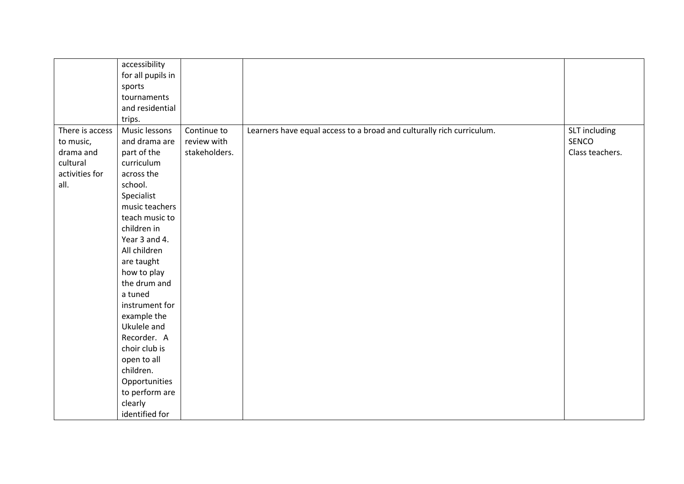|                                                                                 | accessibility<br>for all pupils in<br>sports<br>tournaments<br>and residential<br>trips.                                                                                                                                                                                                                                                                                                                                   |                                             |                                                                       |                                           |
|---------------------------------------------------------------------------------|----------------------------------------------------------------------------------------------------------------------------------------------------------------------------------------------------------------------------------------------------------------------------------------------------------------------------------------------------------------------------------------------------------------------------|---------------------------------------------|-----------------------------------------------------------------------|-------------------------------------------|
| There is access<br>to music,<br>drama and<br>cultural<br>activities for<br>all. | Music lessons<br>and drama are<br>part of the<br>curriculum<br>across the<br>school.<br>Specialist<br>music teachers<br>teach music to<br>children in<br>Year 3 and 4.<br>All children<br>are taught<br>how to play<br>the drum and<br>a tuned<br>instrument for<br>example the<br>Ukulele and<br>Recorder. A<br>choir club is<br>open to all<br>children.<br>Opportunities<br>to perform are<br>clearly<br>identified for | Continue to<br>review with<br>stakeholders. | Learners have equal access to a broad and culturally rich curriculum. | SLT including<br>SENCO<br>Class teachers. |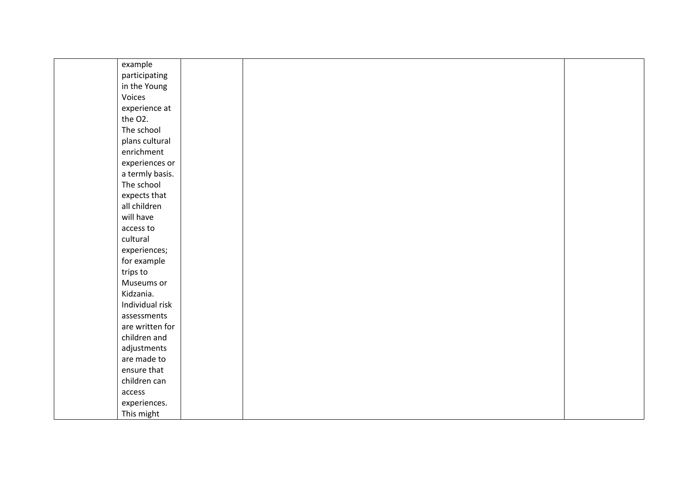| example         |  |  |
|-----------------|--|--|
| participating   |  |  |
| in the Young    |  |  |
| Voices          |  |  |
| experience at   |  |  |
| the O2.         |  |  |
| The school      |  |  |
| plans cultural  |  |  |
| enrichment      |  |  |
| experiences or  |  |  |
| a termly basis. |  |  |
| The school      |  |  |
| expects that    |  |  |
| all children    |  |  |
| will have       |  |  |
| access to       |  |  |
| cultural        |  |  |
| experiences;    |  |  |
| for example     |  |  |
| trips to        |  |  |
| Museums or      |  |  |
| Kidzania.       |  |  |
| Individual risk |  |  |
| assessments     |  |  |
| are written for |  |  |
| children and    |  |  |
| adjustments     |  |  |
| are made to     |  |  |
| ensure that     |  |  |
| children can    |  |  |
| access          |  |  |
| experiences.    |  |  |
| This might      |  |  |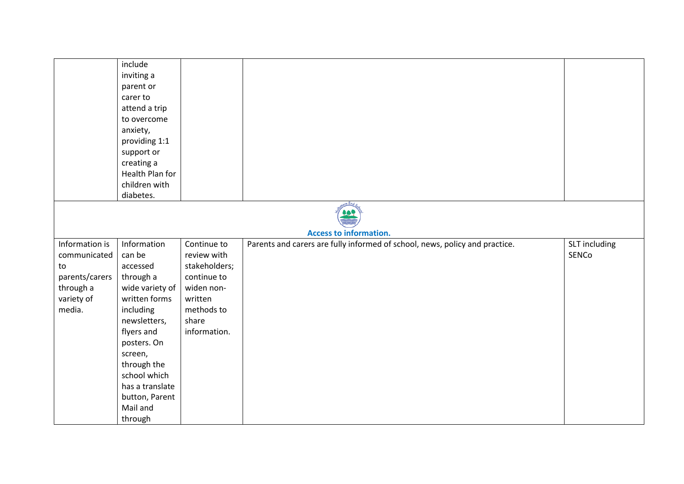|                | include                          |               |                                                                             |               |
|----------------|----------------------------------|---------------|-----------------------------------------------------------------------------|---------------|
|                | inviting a                       |               |                                                                             |               |
|                | parent or                        |               |                                                                             |               |
|                | carer to                         |               |                                                                             |               |
|                | attend a trip                    |               |                                                                             |               |
|                | to overcome                      |               |                                                                             |               |
|                | anxiety,                         |               |                                                                             |               |
|                | providing 1:1                    |               |                                                                             |               |
|                | support or                       |               |                                                                             |               |
|                | creating a                       |               |                                                                             |               |
|                | Health Plan for                  |               |                                                                             |               |
|                | children with                    |               |                                                                             |               |
|                | diabetes.                        |               |                                                                             |               |
|                |                                  |               |                                                                             |               |
|                |                                  |               |                                                                             |               |
|                |                                  |               | <b>Access to information.</b>                                               |               |
| Information is | Information                      | Continue to   |                                                                             | SLT including |
| communicated   | can be                           | review with   | Parents and carers are fully informed of school, news, policy and practice. | SENCo         |
| to             | accessed                         | stakeholders; |                                                                             |               |
| parents/carers |                                  | continue to   |                                                                             |               |
|                | through a                        |               |                                                                             |               |
| through a      | wide variety of<br>written forms | widen non-    |                                                                             |               |
| variety of     |                                  | written       |                                                                             |               |
| media.         | including                        | methods to    |                                                                             |               |
|                | newsletters,                     | share         |                                                                             |               |
|                | flyers and                       | information.  |                                                                             |               |
|                | posters. On                      |               |                                                                             |               |
|                | screen,                          |               |                                                                             |               |
|                | through the                      |               |                                                                             |               |
|                | school which                     |               |                                                                             |               |
|                | has a translate                  |               |                                                                             |               |
|                | button, Parent                   |               |                                                                             |               |
|                | Mail and                         |               |                                                                             |               |
|                | through                          |               |                                                                             |               |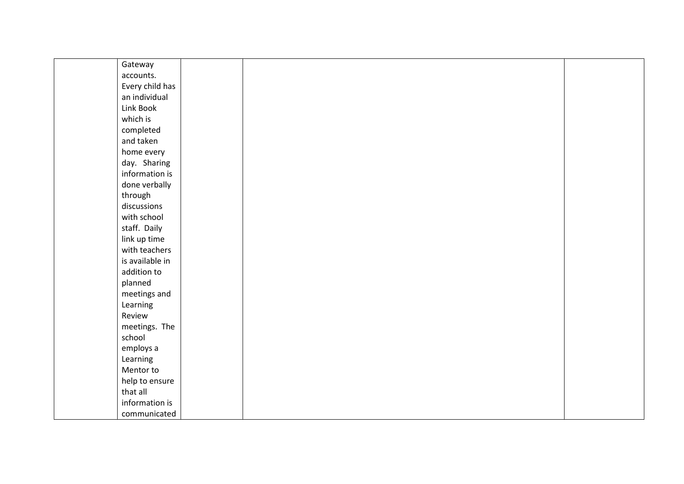| Gateway         |  |  |  |
|-----------------|--|--|--|
| accounts.       |  |  |  |
| Every child has |  |  |  |
| an individual   |  |  |  |
| Link Book       |  |  |  |
| which is        |  |  |  |
| completed       |  |  |  |
| and taken       |  |  |  |
| home every      |  |  |  |
| day. Sharing    |  |  |  |
| information is  |  |  |  |
| done verbally   |  |  |  |
| through         |  |  |  |
| discussions     |  |  |  |
| with school     |  |  |  |
| staff. Daily    |  |  |  |
| link up time    |  |  |  |
| with teachers   |  |  |  |
| is available in |  |  |  |
| addition to     |  |  |  |
| planned         |  |  |  |
| meetings and    |  |  |  |
| Learning        |  |  |  |
| Review          |  |  |  |
| meetings. The   |  |  |  |
| school          |  |  |  |
| employs a       |  |  |  |
| Learning        |  |  |  |
| Mentor to       |  |  |  |
| help to ensure  |  |  |  |
| that all        |  |  |  |
| information is  |  |  |  |
| communicated    |  |  |  |